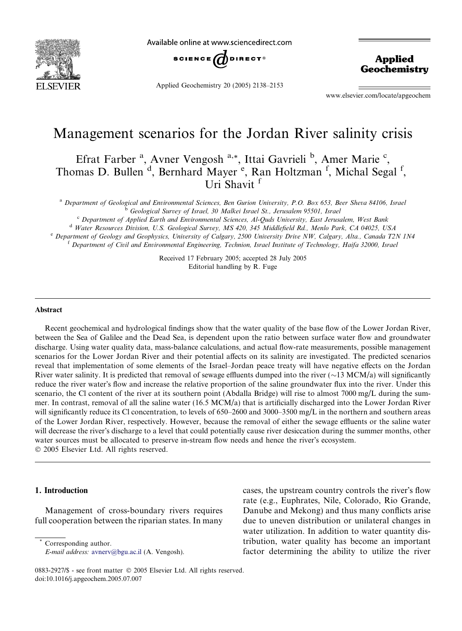

Available online at www.sciencedirect.com



Applied Geochemistry 20 (2005) 2138–2153

Applied **Geochemistry** 

www.elsevier.com/locate/apgeochem

# Management scenarios for the Jordan River salinity crisis

Efrat Farber<sup>a</sup>, Avner Vengosh<sup>a,\*</sup>, Ittai Gavrieli<sup>b</sup>, Amer Marie<sup>c</sup>, Thomas D. Bullen<sup>d</sup>, Bernhard Mayer<sup>e</sup>, Ran Holtzman<sup>f</sup>, Michal Segal<sup>f</sup>, Uri Shavit<sup>f</sup>

a Department of Geological and Environmental Sciences, Ben Gurion University, P.O. Box 653, Beer Sheva 84106, Israel<br>
<sup>6</sup> Geological Survey of Israel, 30 Malkei Israel St., Jerusalem 95501, Israel<br>
<sup>6</sup> Department of Applie

Received 17 February 2005; accepted 28 July 2005 Editorial handling by R. Fuge

#### Abstract

Recent geochemical and hydrological findings show that the water quality of the base flow of the Lower Jordan River, between the Sea of Galilee and the Dead Sea, is dependent upon the ratio between surface water flow and groundwater discharge. Using water quality data, mass-balance calculations, and actual flow-rate measurements, possible management scenarios for the Lower Jordan River and their potential affects on its salinity are investigated. The predicted scenarios reveal that implementation of some elements of the Israel–Jordan peace treaty will have negative effects on the Jordan River water salinity. It is predicted that removal of sewage effluents dumped into the river  $(\sim 13 \text{ MCM}/a)$  will significantly reduce the river water's flow and increase the relative proportion of the saline groundwater flux into the river. Under this scenario, the Cl content of the river at its southern point (Abdalla Bridge) will rise to almost 7000 mg/L during the summer. In contrast, removal of all the saline water (16.5 MCM/a) that is artificially discharged into the Lower Jordan River will significantly reduce its Cl concentration, to levels of 650–2600 and 3000–3500 mg/L in the northern and southern areas of the Lower Jordan River, respectively. However, because the removal of either the sewage effluents or the saline water will decrease the river's discharge to a level that could potentially cause river desiccation during the summer months, other water sources must be allocated to preserve in-stream flow needs and hence the river's ecosystem.

 $© 2005 Elsevier Ltd. All rights reserved.$ 

# 1. Introduction

Management of cross-boundary rivers requires full cooperation between the riparian states. In many cases, the upstream country controls the river's flow rate (e.g., Euphrates, Nile, Colorado, Rio Grande, Danube and Mekong) and thus many conflicts arise due to uneven distribution or unilateral changes in water utilization. In addition to water quantity distribution, water quality has become an important factor determining the ability to utilize the river

Corresponding author. E-mail address: [avnerv@bgu.ac.il](mailto:avnerv@bgu.ac.il) (A. Vengosh).

<sup>0883-2927/\$ -</sup> see front matter © 2005 Elsevier Ltd. All rights reserved. doi:10.1016/j.apgeochem.2005.07.007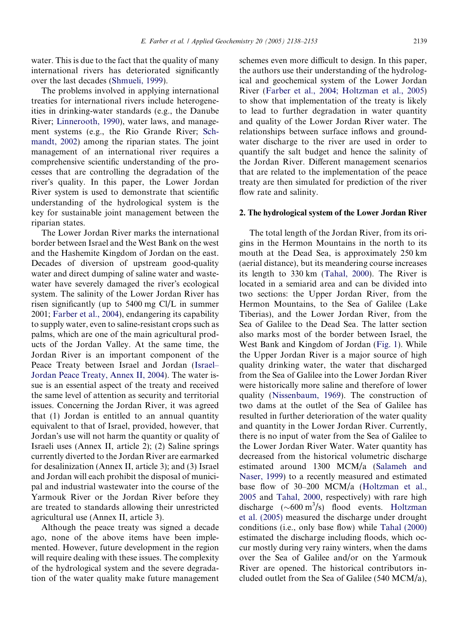water. This is due to the fact that the quality of many international rivers has deteriorated significantly over the last decades ([Shmueli,](#page-15-0) 1999).

The problems involved in applying international treaties for international rivers include heterogeneities in drinking-water standards (e.g., the Danube River; [Linnerooth,](#page-15-0) 1990), water laws, and management systems (e.g., the Rio Grande River; [Sch](#page-15-0)[mandt,](#page-15-0) 2002) among the riparian states. The joint management of an international river requires a comprehensive scientific understanding of the processes that are controlling the degradation of the river's quality. In this paper, the Lower Jordan River system is used to demonstrate that scientific understanding of the hydrological system is the key for sustainable joint management between the riparian states.

The Lower Jordan River marks the international border between Israel and the West Bank on the west and the Hashemite Kingdom of Jordan on the east. Decades of diversion of upstream good-quality water and direct dumping of saline water and wastewater have severely damaged the river's ecological system. The salinity of the Lower Jordan River has risen significantly (up to 5400 mg Cl/L in summer 2001; [Farber](#page-15-0) et al., 2004), endangering its capability to supply water, even to saline-resistant crops such as palms, which are one of the main agricultural products of the Jordan Valley. At the same time, the Jordan River is an important component of the Peace Treaty between Israel and Jordan [\(Israel–](#page-15-0) Jordan Peace [Treaty,](#page-15-0) Annex II, 2004). The water issue is an essential aspect of the treaty and received the same level of attention as security and territorial issues. Concerning the Jordan River, it was agreed that (1) Jordan is entitled to an annual quantity equivalent to that of Israel, provided, however, that Jordan's use will not harm the quantity or quality of Israeli uses (Annex II, article 2); (2) Saline springs currently diverted to the Jordan River are earmarked for desalinization (Annex II, article 3); and (3) Israel and Jordan will each prohibit the disposal of municipal and industrial wastewater into the course of the Yarmouk River or the Jordan River before they are treated to standards allowing their unrestricted agricultural use (Annex II, article 3).

Although the peace treaty was signed a decade ago, none of the above items have been implemented. However, future development in the region will require dealing with these issues. The complexity of the hydrological system and the severe degradation of the water quality make future management schemes even more difficult to design. In this paper, the authors use their understanding of the hydrological and geochemical system of the Lower Jordan River (Farber et al., 2004; [Holtzman](#page-15-0) et al., 2005) to show that implementation of the treaty is likely to lead to further degradation in water quantity and quality of the Lower Jordan River water. The relationships between surface inflows and groundwater discharge to the river are used in order to quantify the salt budget and hence the salinity of the Jordan River. Different management scenarios that are related to the implementation of the peace treaty are then simulated for prediction of the river flow rate and salinity.

## 2. The hydrological system of the Lower Jordan River

The total length of the Jordan River, from its origins in the Hermon Mountains in the north to its mouth at the Dead Sea, is approximately 250 km (aerial distance), but its meandering course increases its length to 330 km [\(Tahal,](#page-15-0) 2000). The River is located in a semiarid area and can be divided into two sections: the Upper Jordan River, from the Hermon Mountains, to the Sea of Galilee (Lake Tiberias), and the Lower Jordan River, from the Sea of Galilee to the Dead Sea. The latter section also marks most of the border between Israel, the West Bank and Kingdom of Jordan ([Fig.](#page-2-0) 1). While the Upper Jordan River is a major source of high quality drinking water, the water that discharged from the Sea of Galilee into the Lower Jordan River were historically more saline and therefore of lower quality ([Nissenbaum,](#page-15-0) 1969). The construction of two dams at the outlet of the Sea of Galilee has resulted in further deterioration of the water quality and quantity in the Lower Jordan River. Currently, there is no input of water from the Sea of Galilee to the Lower Jordan River Water. Water quantity has decreased from the historical volumetric discharge estimated around 1300 MCM/a [\(Salameh](#page-15-0) and [Naser,](#page-15-0) 1999) to a recently measured and estimated base flow of 30–200 MCM/a [\(Holtzman](#page-15-0) et al., [2005](#page-15-0) and [Tahal,](#page-15-0) 2000, respectively) with rare high discharge  $({\sim}600 \text{ m}^3/\text{s})$  flood events. [Holtzman](#page-15-0) et al. [\(2005\)](#page-15-0) measured the discharge under drought conditions (i.e., only base flow) while Tahal [\(2000\)](#page-15-0) estimated the discharge including floods, which occur mostly during very rainy winters, when the dams over the Sea of Galilee and/or on the Yarmouk River are opened. The historical contributors included outlet from the Sea of Galilee (540 MCM/a),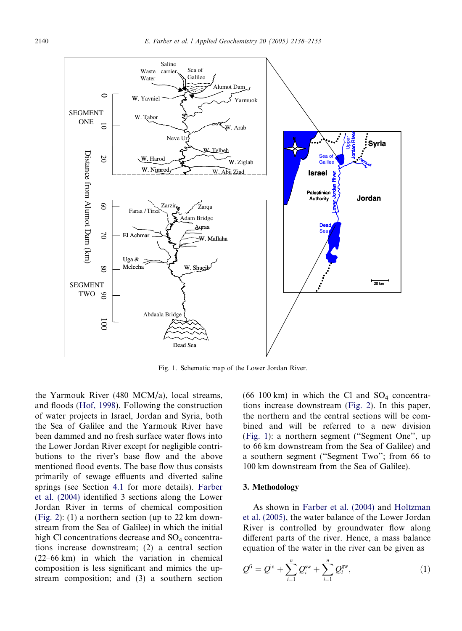<span id="page-2-0"></span>

Fig. 1. Schematic map of the Lower Jordan River.

the Yarmouk River (480 MCM/a), local streams, and floods [\(Hof,](#page-15-0) 1998). Following the construction of water projects in Israel, Jordan and Syria, both the Sea of Galilee and the Yarmouk River have been dammed and no fresh surface water flows into the Lower Jordan River except for negligible contributions to the river's base flow and the above mentioned flood events. The base flow thus consists primarily of sewage effluents and diverted saline springs (see Section [4.1](#page-4-0) for more details). [Farber](#page-15-0) et al. [\(2004\)](#page-15-0) identified 3 sections along the Lower Jordan River in terms of chemical composition ([Fig.](#page-3-0) 2): (1) a northern section (up to 22 km downstream from the Sea of Galilee) in which the initial high Cl concentrations decrease and  $SO<sub>4</sub>$  concentrations increase downstream; (2) a central section (22–66 km) in which the variation in chemical composition is less significant and mimics the upstream composition; and (3) a southern section

 $(66-100 \text{ km})$  in which the Cl and SO<sub>4</sub> concentrations increase downstream [\(Fig.](#page-3-0) 2). In this paper, the northern and the central sections will be combined and will be referred to a new division (Fig. 1): a northern segment (''Segment One'', up to 66 km downstream from the Sea of Galilee) and a southern segment (''Segment Two''; from 66 to 100 km downstream from the Sea of Galilee).

## 3. Methodology

As shown in [Farber](#page-15-0) et al. (2004) and [Holtzman](#page-15-0) et al. [\(2005\),](#page-15-0) the water balance of the Lower Jordan River is controlled by groundwater flow along different parts of the river. Hence, a mass balance equation of the water in the river can be given as

$$
Q^{fi} = Q^{in} + \sum_{i=1}^{n} Q_i^{sw} + \sum_{i=1}^{n} Q_i^{gw},
$$
 (1)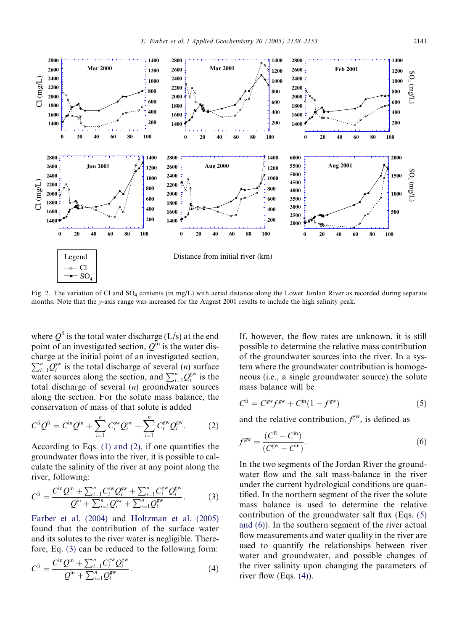<span id="page-3-0"></span>

Fig. 2. The variation of Cl and SO<sub>4</sub> contents (in mg/L) with aerial distance along the Lower Jordan River as recorded during separate months. Note that the y-axis range was increased for the August 2001 results to include the high salinity peak.

where  $Q^{\text{fi}}$  is the total water discharge (L/s) at the end point of an investigated section,  $Q^{\text{in}}$  is the water discharge at the initial point of an investigated section,<br> $\sum_{n=0}^{\infty}$  o<sup>sw</sup> is the total discharge of several (n) surface  $\sum_{i=1}^{n} Q_i^{\text{sw}}$  is the total discharge of several (n) surface water sources along the section, and  $\sum_{i=1}^{n} Q_i^{\text{gw}}$  is the total discharge of several  $(n)$  groundwater sources along the section. For the solute mass balance, the conservation of mass of that solute is added

$$
C^{f i} Q^{f i} = C^{i n} Q^{j n} + \sum_{i=1}^{n} C^{s w}_{i} Q^{s w}_{i} + \sum_{i=1}^{n} C^{s w}_{i} Q^{s w}_{i}.
$$
 (2)

According to Eqs. (1) [and](#page-2-0) (2), if one quantifies the groundwater flows into the river, it is possible to calculate the salinity of the river at any point along the river, following:

$$
C^{fi} = \frac{C^{in} Q^{in} + \sum_{i=1}^{n} C_i^{sw} Q_i^{sw} + \sum_{i=1}^{n} C_i^{gw} Q_i^{gw}}{Q^{in} + \sum_{i=1}^{n} Q_i^{sw} + \sum_{i=1}^{n} Q_i^{gw}}.
$$
(3)

[Farber](#page-15-0) et al. (2004) and [Holtzman](#page-15-0) et al. (2005) found that the contribution of the surface water and its solutes to the river water is negligible. Therefore, Eq. (3) can be reduced to the following form:

$$
C^{fi} = \frac{C^{in}Q^{in} + \sum_{i=1}^{n} C_i^{gw}Q_i^{gw}}{Q^{in} + \sum_{i=1}^{n} Q_i^{gw}}.
$$
\n(4)

If, however, the flow rates are unknown, it is still possible to determine the relative mass contribution of the groundwater sources into the river. In a system where the groundwater contribution is homogeneous (i.e., a single groundwater source) the solute mass balance will be

$$
Cfi = Cgw fgw + Cin (1 - fgw)
$$
 (5)

and the relative contribution,  $f<sup>gw</sup>$ , is defined as

$$
f^{\rm gw} = \frac{(C^{\rm fi} - C^{\rm in})}{(C^{\rm gw} - C^{\rm in})}.
$$
 (6)

In the two segments of the Jordan River the groundwater flow and the salt mass-balance in the river under the current hydrological conditions are quantified. In the northern segment of the river the solute mass balance is used to determine the relative contribution of the groundwater salt flux (Eqs. (5) and (6)). In the southern segment of the river actual flow measurements and water quality in the river are used to quantify the relationships between river water and groundwater, and possible changes of the river salinity upon changing the parameters of river flow (Eqs.  $(4)$ ).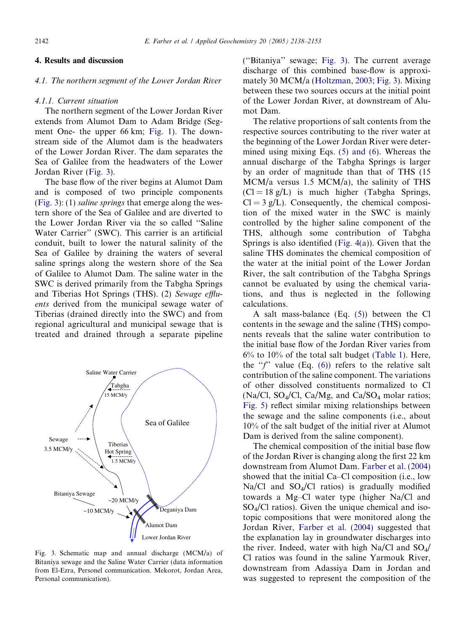# <span id="page-4-0"></span>4. Results and discussion

# 4.1. The northern segment of the Lower Jordan River

#### 4.1.1. Current situation

The northern segment of the Lower Jordan River extends from Alumot Dam to Adam Bridge (Segment One- the upper 66 km; [Fig.](#page-2-0) 1). The downstream side of the Alumot dam is the headwaters of the Lower Jordan River. The dam separates the Sea of Galilee from the headwaters of the Lower Jordan River (Fig. 3).

The base flow of the river begins at Alumot Dam and is composed of two principle components (Fig. 3): (1) saline springs that emerge along the western shore of the Sea of Galilee and are diverted to the Lower Jordan River via the so called ''Saline Water Carrier'' (SWC). This carrier is an artificial conduit, built to lower the natural salinity of the Sea of Galilee by draining the waters of several saline springs along the western shore of the Sea of Galilee to Alumot Dam. The saline water in the SWC is derived primarily from the Tabgha Springs and Tiberias Hot Springs (THS). (2) Sewage effluents derived from the municipal sewage water of Tiberias (drained directly into the SWC) and from regional agricultural and municipal sewage that is treated and drained through a separate pipeline



Fig. 3. Schematic map and annual discharge (MCM/a) of Bitaniya sewage and the Saline Water Carrier (data information from El-Ezra, Personel communication. Mekorot, Jordan Area, Personal communication).

(''Bitaniya'' sewage; Fig. 3). The current average discharge of this combined base-flow is approximately 30 MCM/a ([Holtzman,](#page-15-0) 2003; Fig. 3). Mixing between these two sources occurs at the initial point of the Lower Jordan River, at downstream of Alumot Dam.

The relative proportions of salt contents from the respective sources contributing to the river water at the beginning of the Lower Jordan River were determined using mixing Eqs. (5) [and](#page-3-0) (6). Whereas the annual discharge of the Tabgha Springs is larger by an order of magnitude than that of THS (15 MCM/a versus 1.5 MCM/a), the salinity of THS  $(C = 18 \text{ g/L})$  is much higher (Tabgha Springs,  $Cl = 3 g/L$ ). Consequently, the chemical composition of the mixed water in the SWC is mainly controlled by the higher saline component of the THS, although some contribution of Tabgha Springs is also identified [\(Fig.](#page-5-0) 4(a)). Given that the saline THS dominates the chemical composition of the water at the initial point of the Lower Jordan River, the salt contribution of the Tabgha Springs cannot be evaluated by using the chemical variations, and thus is neglected in the following calculations.

A salt mass-balance (Eq. [\(5\)\)](#page-3-0) between the Cl contents in the sewage and the saline (THS) components reveals that the saline water contribution to the initial base flow of the Jordan River varies from 6% to 10% of the total salt budget [\(Table](#page-6-0) 1). Here, the " $f$ " value (Eq. [\(6\)\)](#page-3-0) refers to the relative salt contribution of the saline component. The variations of other dissolved constituents normalized to Cl (Na/Cl, SO<sub>4</sub>/Cl, Ca/Mg, and Ca/SO<sub>4</sub> molar ratios; [Fig.](#page-7-0) 5) reflect similar mixing relationships between the sewage and the saline components (i.e., about 10% of the salt budget of the initial river at Alumot Dam is derived from the saline component).

The chemical composition of the initial base flow of the Jordan River is changing along the first 22 km downstream from Alumot Dam. [Farber](#page-15-0) et al. (2004) showed that the initial Ca–Cl composition (i.e., low  $Na/Cl$  and  $SO<sub>4</sub>/Cl$  ratios) is gradually modified towards a Mg–Cl water type (higher Na/Cl and  $SO_4/Cl$  ratios). Given the unique chemical and isotopic compositions that were monitored along the Jordan River, [Farber](#page-15-0) et al. (2004) suggested that the explanation lay in groundwater discharges into the river. Indeed, water with high Na/Cl and  $SO_4/$ Cl ratios was found in the saline Yarmouk River, downstream from Adassiya Dam in Jordan and was suggested to represent the composition of the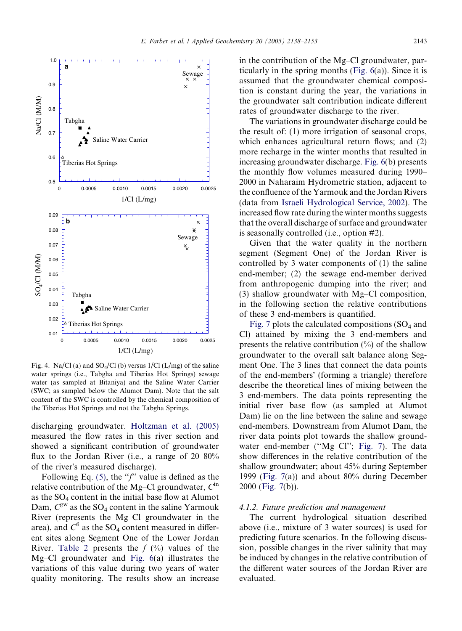<span id="page-5-0"></span>

Fig. 4. Na/Cl (a) and  $SO_4/Cl$  (b) versus  $1/Cl$  (L/mg) of the saline water springs (i.e., Tabgha and Tiberias Hot Springs) sewage water (as sampled at Bitaniya) and the Saline Water Carrier (SWC; as sampled below the Alumot Dam). Note that the salt content of the SWC is controlled by the chemical composition of the Tiberias Hot Springs and not the Tabgha Springs.

discharging groundwater. [Holtzman](#page-15-0) et al. (2005) measured the flow rates in this river section and showed a significant contribution of groundwater flux to the Jordan River (i.e., a range of 20–80% of the river's measured discharge).

Following Eq. [\(5\),](#page-3-0) the  $\mathscr{F}'$  value is defined as the relative contribution of the Mg–Cl groundwater,  $C^{in}$ as the  $SO_4$  content in the initial base flow at Alumot Dam,  $C^{\text{gw}}$  as the SO<sub>4</sub> content in the saline Yarmouk River (represents the Mg–Cl groundwater in the area), and  $C^{\text{fi}}$  as the SO<sub>4</sub> content measured in different sites along Segment One of the Lower Jordan River. [Table](#page-7-0) 2 presents the  $f(\%)$  values of the Mg–Cl groundwater and [Fig.](#page-8-0) 6(a) illustrates the variations of this value during two years of water quality monitoring. The results show an increase

in the contribution of the Mg–Cl groundwater, par-ticularly in the spring months ([Fig.](#page-8-0)  $6(a)$ ). Since it is assumed that the groundwater chemical composition is constant during the year, the variations in the groundwater salt contribution indicate different rates of groundwater discharge to the river.

The variations in groundwater discharge could be the result of: (1) more irrigation of seasonal crops, which enhances agricultural return flows; and (2) more recharge in the winter months that resulted in increasing groundwater discharge. [Fig.](#page-8-0) 6(b) presents the monthly flow volumes measured during 1990– 2000 in Naharaim Hydrometric station, adjacent to the confluence of the Yarmouk and the Jordan Rivers (data from Israeli [Hydrological](#page-15-0) Service, 2002). The increased flow rate during the winter months suggests that the overall discharge of surface and groundwater is seasonally controlled (i.e., option #2).

Given that the water quality in the northern segment (Segment One) of the Jordan River is controlled by 3 water components of (1) the saline end-member; (2) the sewage end-member derived from anthropogenic dumping into the river; and (3) shallow groundwater with Mg–Cl composition, in the following section the relative contributions of these 3 end-members is quantified.

[Fig.](#page-9-0) 7 plots the calculated compositions  $SO_4$  and Cl) attained by mixing the 3 end-members and presents the relative contribution  $(\%)$  of the shallow groundwater to the overall salt balance along Segment One. The 3 lines that connect the data points of the end-members' (forming a triangle) therefore describe the theoretical lines of mixing between the 3 end-members. The data points representing the initial river base flow (as sampled at Alumot Dam) lie on the line between the saline and sewage end-members. Downstream from Alumot Dam, the river data points plot towards the shallow ground-water end-member ("Mg-Cl"; [Fig.](#page-9-0) 7). The data show differences in the relative contribution of the shallow groundwater; about 45% during September 1999 ([Fig.](#page-9-0) 7(a)) and about 80% during December 2000 ([Fig.](#page-9-0) 7(b)).

# 4.1.2. Future prediction and management

The current hydrological situation described above (i.e., mixture of 3 water sources) is used for predicting future scenarios. In the following discussion, possible changes in the river salinity that may be induced by changes in the relative contribution of the different water sources of the Jordan River are evaluated.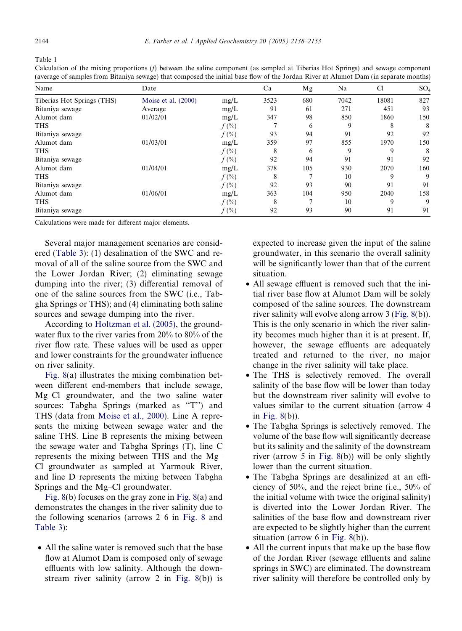<span id="page-6-0"></span>Table 1

Calculation of the mixing proportions (f) between the saline component (as sampled at Tiberias Hot Springs) and sewage component (average of samples from Bitaniya sewage) that composed the initial base flow of the Jordan River at Alumot Dam (in separate months)

| Name                       | Date                  |          | Ca   | Mg  | Na   | C1    | SO <sub>4</sub> |
|----------------------------|-----------------------|----------|------|-----|------|-------|-----------------|
| Tiberias Hot Springs (THS) | Moise et al. $(2000)$ | mg/L     | 3523 | 680 | 7042 | 18081 | 827             |
| Bitaniya sewage            | Average               | mg/L     | 91   | 61  | 271  | 451   | 93              |
| Alumot dam                 | 01/02/01              | mg/L     | 347  | 98  | 850  | 1860  | 150             |
| <b>THS</b>                 |                       | $f(\% )$ |      | 6   | 9    | 8     | 8               |
| Bitaniya sewage            |                       | $f(\% )$ | 93   | 94  | 91   | 92    | 92              |
| Alumot dam                 | 01/03/01              | mg/L     | 359  | 97  | 855  | 1970  | 150             |
| <b>THS</b>                 |                       | $f(\% )$ | 8    | 6   | 9    | 9     | 8               |
| Bitaniya sewage            |                       | $f(\%)$  | 92   | 94  | 91   | 91    | 92              |
| Alumot dam                 | 01/04/01              | mg/L     | 378  | 105 | 930  | 2070  | 160             |
| <b>THS</b>                 |                       | $f(\% )$ | 8    | π   | 10   | 9     | 9               |
| Bitaniya sewage            |                       | $f(\%)$  | 92   | 93  | 90   | 91    | 91              |
| Alumot dam                 | 01/06/01              | mg/L     | 363  | 104 | 950  | 2040  | 158             |
| <b>THS</b>                 |                       | $f(\% )$ | 8    | Ξ   | 10   | 9     | 9               |
| Bitaniya sewage            |                       | $f(\%)$  | 92   | 93  | 90   | 91    | 91              |

Calculations were made for different major elements.

Several major management scenarios are considered ([Table](#page-10-0) 3): (1) desalination of the SWC and removal of all of the saline source from the SWC and the Lower Jordan River; (2) eliminating sewage dumping into the river; (3) differential removal of one of the saline sources from the SWC (i.e., Tabgha Springs or THS); and (4) eliminating both saline sources and sewage dumping into the river.

According to [Holtzman](#page-15-0) et al. (2005), the groundwater flux to the river varies from 20% to 80% of the river flow rate. These values will be used as upper and lower constraints for the groundwater influence on river salinity.

[Fig.](#page-11-0) 8(a) illustrates the mixing combination between different end-members that include sewage, Mg–Cl groundwater, and the two saline water sources: Tabgha Springs (marked as "T") and THS (data from [Moise](#page-15-0) et al., 2000). Line A represents the mixing between sewage water and the saline THS. Line B represents the mixing between the sewage water and Tabgha Springs (T), line C represents the mixing between THS and the Mg– Cl groundwater as sampled at Yarmouk River, and line D represents the mixing between Tabgha Springs and the Mg–Cl groundwater.

[Fig.](#page-11-0) 8(b) focuses on the gray zone in [Fig.](#page-11-0) 8(a) and demonstrates the changes in the river salinity due to the following scenarios (arrows 2–6 in [Fig.](#page-11-0) 8 and [Table](#page-10-0) 3):

• All the saline water is removed such that the base flow at Alumot Dam is composed only of sewage effluents with low salinity. Although the downstream river salinity (arrow 2 in [Fig.](#page-11-0) 8(b)) is expected to increase given the input of the saline groundwater, in this scenario the overall salinity will be significantly lower than that of the current situation.

- All sewage effluent is removed such that the initial river base flow at Alumot Dam will be solely composed of the saline sources. The downstream river salinity will evolve along arrow 3 ([Fig.](#page-11-0) 8(b)). This is the only scenario in which the river salinity becomes much higher than it is at present. If, however, the sewage effluents are adequately treated and returned to the river, no major change in the river salinity will take place.
- The THS is selectively removed. The overall salinity of the base flow will be lower than today but the downstream river salinity will evolve to values similar to the current situation (arrow 4 in [Fig.](#page-11-0) 8(b)).
- The Tabgha Springs is selectively removed. The volume of the base flow will significantly decrease but its salinity and the salinity of the downstream river (arrow 5 in [Fig.](#page-11-0) 8(b)) will be only slightly lower than the current situation.
- The Tabgha Springs are desalinized at an efficiency of 50%, and the reject brine (i.e., 50% of the initial volume with twice the original salinity) is diverted into the Lower Jordan River. The salinities of the base flow and downstream river are expected to be slightly higher than the current situation (arrow 6 in [Fig.](#page-11-0) 8(b)).
- All the current inputs that make up the base flow of the Jordan River (sewage effluents and saline springs in SWC) are eliminated. The downstream river salinity will therefore be controlled only by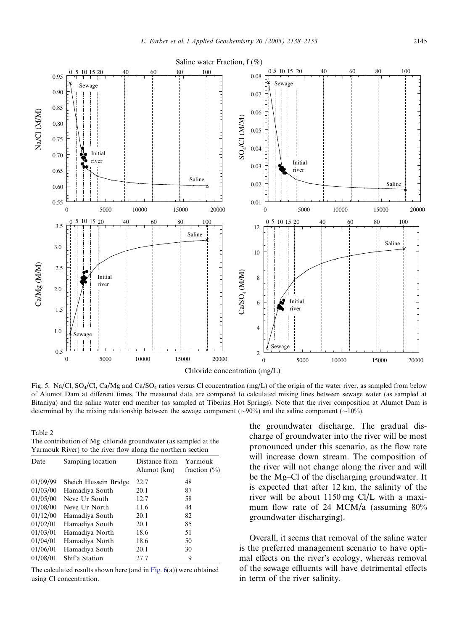<span id="page-7-0"></span>

Fig. 5. Na/Cl, SO<sub>4</sub>/Cl, Ca/Mg and Ca/SO<sub>4</sub> ratios versus Cl concentration (mg/L) of the origin of the water river, as sampled from below of Alumot Dam at different times. The measured data are compared to calculated mixing lines between sewage water (as sampled at Bitaniya) and the saline water end member (as sampled at Tiberias Hot Springs). Note that the river composition at Alumot Dam is determined by the mixing relationship between the sewage component ( $\sim$ 90%) and the saline component ( $\sim$ 10%).

Table 2 The contribution of Mg–chloride groundwater (as sampled at the Yarmouk River) to the river flow along the northern section

| Date     | Sampling location     | Distance from<br>Alumot (km) | Yarmouk<br>fraction $(\% )$ |
|----------|-----------------------|------------------------------|-----------------------------|
| 01/09/99 | Sheich Hussein Bridge | 22.7                         | 48                          |
| 01/03/00 | Hamadiya South        | 20.1                         | 87                          |
| 01/05/00 | Neve Ur South         | 12.7                         | 58                          |
| 01/08/00 | Neve Ur North         | 11.6                         | 44                          |
| 01/12/00 | Hamadiya South        | 20.1                         | 82                          |
| 01/02/01 | Hamadiya South        | 20.1                         | 85                          |
| 01/03/01 | Hamadiya North        | 18.6                         | 51                          |
| 01/04/01 | Hamadiya North        | 18.6                         | 50                          |
| 01/06/01 | Hamadiya South        | 20.1                         | 30                          |
| 01/08/01 | Shif'a Station        | 27.7                         | 9                           |

The calculated results shown here (and in [Fig.](#page-8-0) 6(a)) were obtained using Cl concentration.

the groundwater discharge. The gradual discharge of groundwater into the river will be most pronounced under this scenario, as the flow rate will increase down stream. The composition of the river will not change along the river and will be the Mg–Cl of the discharging groundwater. It is expected that after 12 km, the salinity of the river will be about 1150 mg Cl/L with a maximum flow rate of 24 MCM/a (assuming 80% groundwater discharging).

Overall, it seems that removal of the saline water is the preferred management scenario to have optimal effects on the river's ecology, whereas removal of the sewage effluents will have detrimental effects in term of the river salinity.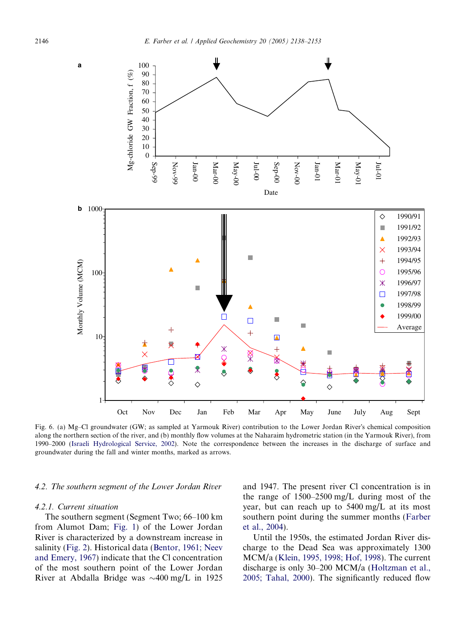<span id="page-8-0"></span>

Fig. 6. (a) Mg–Cl groundwater (GW; as sampled at Yarmouk River) contribution to the Lower Jordan River's chemical composition along the northern section of the river, and (b) monthly flow volumes at the Naharaim hydrometric station (in the Yarmouk River), from 1990–2000 (Israeli [Hydrological](#page-15-0) Service, 2002). Note the correspondence between the increases in the discharge of surface and groundwater during the fall and winter months, marked as arrows.

## 4.2. The southern segment of the Lower Jordan River

#### 4.2.1. Current situation

The southern segment (Segment Two; 66–100 km from Alumot Dam; [Fig.](#page-2-0) 1) of the Lower Jordan River is characterized by a downstream increase in salinity ([Fig.](#page-3-0) 2). Historical data ([Bentor,](#page-15-0) 1961; Neev and [Emery,](#page-15-0) 1967) indicate that the Cl concentration of the most southern point of the Lower Jordan River at Abdalla Bridge was  $\sim$ 400 mg/L in 1925 and 1947. The present river Cl concentration is in the range of 1500–2500 mg/L during most of the year, but can reach up to 5400 mg/L at its most southern point during the summer months [\(Farber](#page-15-0) et al., [2004\)](#page-15-0).

Until the 1950s, the estimated Jordan River discharge to the Dead Sea was approximately 1300 MCM/a ([Klein,](#page-15-0) 1995, 1998; Hof, 1998). The current discharge is only 30–200 MCM/a [\(Holtzman](#page-15-0) et al., 2005; [Tahal,](#page-15-0) 2000). The significantly reduced flow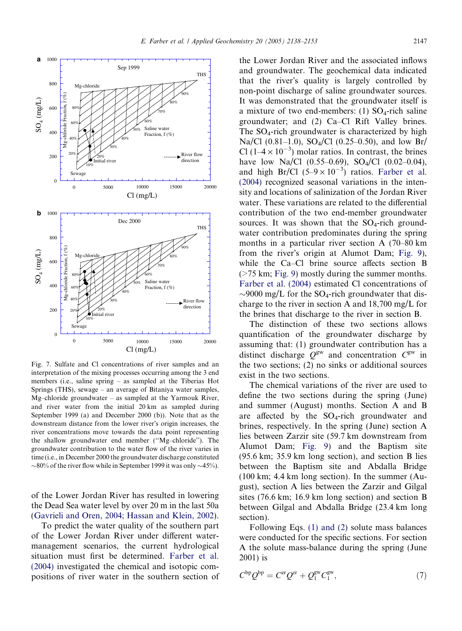<span id="page-9-0"></span>

Fig. 7. Sulfate and Cl concentrations of river samples and an interpretation of the mixing processes occurring among the 3 end members (i.e., saline spring – as sampled at the Tiberias Hot Springs (THS), sewage – an average of Bitaniya water samples, Mg–chloride groundwater – as sampled at the Yarmouk River, and river water from the initial 20 km as sampled during September 1999 (a) and December 2000 (b)). Note that as the downstream distance from the lower river's origin increases, the river concentrations move towards the data point representing the shallow groundwater end member (''Mg–chloride''). The groundwater contribution to the water flow of the river varies in time (i.e., in December 2000 the groundwater discharge constituted  $\sim$ 80% of the river flow while in September 1999 it was only  $\sim$ 45%).

of the Lower Jordan River has resulted in lowering the Dead Sea water level by over 20 m in the last 50a [\(Gavrieli](#page-15-0) and Oren, 2004; Hassan and Klein, 2002).

To predict the water quality of the southern part of the Lower Jordan River under different watermanagement scenarios, the current hydrological situation must first be determined. [Farber](#page-15-0) et al. [\(2004\)](#page-15-0) investigated the chemical and isotopic compositions of river water in the southern section of the Lower Jordan River and the associated inflows and groundwater. The geochemical data indicated that the river's quality is largely controlled by non-point discharge of saline groundwater sources. It was demonstrated that the groundwater itself is a mixture of two end-members: (1)  $SO_4$ -rich saline groundwater; and (2) Ca–Cl Rift Valley brines. The  $SO_4$ -rich groundwater is characterized by high Na/Cl (0.81–1.0), SO<sub>4</sub>/Cl (0.25–0.50), and low Br/ Cl ( $1-4 \times 10^{-3}$ ) molar ratios. In contrast, the brines have low Na/Cl  $(0.55-0.69)$ , SO<sub>4</sub>/Cl  $(0.02-0.04)$ , and high Br/Cl  $(5-9 \times 10^{-3})$  ratios. [Farber](#page-15-0) et al. [\(2004\)](#page-15-0) recognized seasonal variations in the intensity and locations of salinization of the Jordan River water. These variations are related to the differential contribution of the two end-member groundwater sources. It was shown that the  $SO_4$ -rich groundwater contribution predominates during the spring months in a particular river section A (70–80 km from the river's origin at Alumot Dam; [Fig.](#page-12-0) 9). while the Ca–Cl brine source affects section B (>75 km; [Fig.](#page-12-0) 9) mostly during the summer months. [Farber](#page-15-0) et al. (2004) estimated Cl concentrations of  $\sim$ 9000 mg/L for the SO<sub>4</sub>-rich groundwater that discharge to the river in section A and 18,700 mg/L for the brines that discharge to the river in section B.

The distinction of these two sections allows quantification of the groundwater discharge by assuming that: (1) groundwater contribution has a distinct discharge  $Q^{gw}$  and concentration  $C^{gw}$  in the two sections; (2) no sinks or additional sources exist in the two sections.

The chemical variations of the river are used to define the two sections during the spring (June) and summer (August) months. Section A and B are affected by the  $SO_4$ -rich groundwater and brines, respectively. In the spring (June) section A lies between Zarzir site (59.7 km downstream from Alumot Dam; [Fig.](#page-12-0) 9) and the Baptism site (95.6 km; 35.9 km long section), and section B lies between the Baptism site and Abdalla Bridge (100 km; 4.4 km long section). In the summer (August), section A lies between the Zarzir and Gilgal sites (76.6 km; 16.9 km long section) and section B between Gilgal and Abdalla Bridge (23.4 km long section).

Following Eqs. (1) [and](#page-2-0) (2) solute mass balances were conducted for the specific sections. For section A the solute mass-balance during the spring (June 2001) is

$$
C^{\rm bp} Q^{\rm bp} = C^{\rm zr} Q^{\rm zr} + Q_1^{\rm gw} C_1^{\rm gw},\tag{7}
$$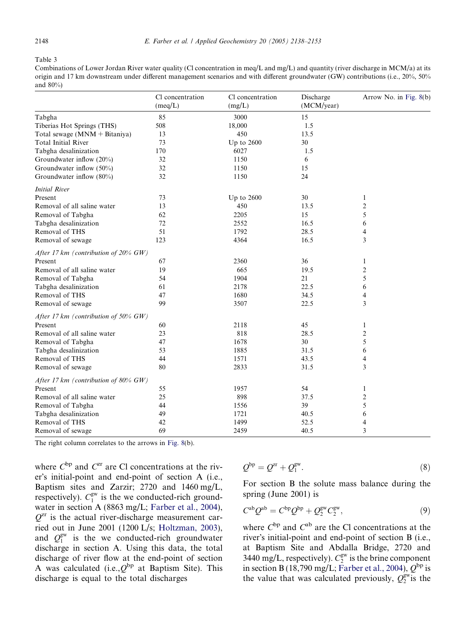#### <span id="page-10-0"></span>Table 3

Combinations of Lower Jordan River water quality (Cl concentration in meq/L and mg/L) and quantity (river discharge in MCM/a) at its origin and 17 km downstream under different management scenarios and with different groundwater (GW) contributions (i.e., 20%, 50% and 80%)

|                                         | Cl concentration<br>(meq/L) | Cl concentration<br>(mg/L) | Discharge<br>(MCM/year) | Arrow No. in Fig. 8(b) |
|-----------------------------------------|-----------------------------|----------------------------|-------------------------|------------------------|
| Tabgha                                  | 85                          | 3000                       | 15                      |                        |
| Tiberias Hot Springs (THS)              | 508                         | 18,000                     | 1.5                     |                        |
| Total sewage (MNM + Bitaniya)           | 13                          | 450                        | 13.5                    |                        |
| <b>Total Initial River</b>              | 73                          | Up to $2600$               | 30                      |                        |
| Tabgha desalinization                   | 170                         | 6027                       | 1.5                     |                        |
| Groundwater inflow (20%)                | 32                          | 1150                       | 6                       |                        |
| Groundwater inflow (50%)                | 32                          | 1150                       | 15                      |                        |
| Groundwater inflow (80%)                | 32                          | 1150                       | 24                      |                        |
| <b>Initial River</b>                    |                             |                            |                         |                        |
| Present                                 | 73                          | Up to 2600                 | 30                      | $\mathbf{1}$           |
| Removal of all saline water             | 13                          | 450                        | 13.5                    | $\overline{2}$         |
| Removal of Tabgha                       | 62                          | 2205                       | 15                      | 5                      |
| Tabgha desalinization                   | 72                          | 2552                       | 16.5                    | 6                      |
| Removal of THS                          | 51                          | 1792                       | 28.5                    | 4                      |
| Removal of sewage                       | 123                         | 4364                       | 16.5                    | 3                      |
| After 17 km (contribution of $20\%$ GW) |                             |                            |                         |                        |
| Present                                 | 67                          | 2360                       | 36                      | $\mathbf{1}$           |
| Removal of all saline water             | 19                          | 665                        | 19.5                    | $\overline{2}$         |
| Removal of Tabgha                       | 54                          | 1904                       | 21                      | 5                      |
| Tabgha desalinization                   | 61                          | 2178                       | 22.5                    | 6                      |
| Removal of THS                          | 47                          | 1680                       | 34.5                    | $\overline{4}$         |
| Removal of sewage                       | 99                          | 3507                       | 22.5                    | 3                      |
| After 17 km (contribution of 50% $GW$ ) |                             |                            |                         |                        |
| Present                                 | 60                          | 2118                       | 45                      | 1                      |
| Removal of all saline water             | 23                          | 818                        | 28.5                    | $\overline{2}$         |
| Removal of Tabgha                       | 47                          | 1678                       | 30                      | 5                      |
| Tabgha desalinization                   | 53                          | 1885                       | 31.5                    | 6                      |
| Removal of THS                          | 44                          | 1571                       | 43.5                    | $\overline{4}$         |
| Removal of sewage                       | 80                          | 2833                       | 31.5                    | 3                      |
| After 17 km (contribution of 80% $GW$ ) |                             |                            |                         |                        |
| Present                                 | 55                          | 1957                       | 54                      | $\mathbf{1}$           |
| Removal of all saline water             | 25                          | 898                        | 37.5                    | $\overline{2}$         |
| Removal of Tabgha                       | 44                          | 1556                       | 39                      | 5                      |
| Tabgha desalinization                   | 49                          | 1721                       | 40.5                    | 6                      |
| Removal of THS                          | 42                          | 1499                       | 52.5                    | 4                      |
| Removal of sewage                       | 69                          | 2459                       | 40.5                    | 3                      |

The right column correlates to the arrows in [Fig.](#page-11-0) 8(b).

where  $C^{bp}$  and  $C^{zr}$  are Cl concentrations at the river's initial-point and end-point of section A (i.e., Baptism sites and Zarzir; 2720 and 1460 mg/L, respectively).  $C_1^{\text{gw}}$  is the we conducted-rich groundwater in section A (8863 mg/L; [Farber](#page-15-0) et al., 2004),  $Q<sup>zr</sup>$  is the actual river-discharge measurement carried out in June 2001 (1200 L/s; [Holtzman,](#page-15-0) 2003), and  $Q_1^{\text{gw}}$  is the we conducted-rich groundwater discharge in section A. Using this data, the total discharge of river flow at the end-point of section A was calculated (i.e.,  $Q^{bp}$  at Baptism Site). This discharge is equal to the total discharges

$$
Q^{\rm bp} = Q^{\rm zr} + Q_1^{\rm gw}.\tag{8}
$$

For section B the solute mass balance during the spring (June 2001) is

$$
C^{ab}Q^{ab} = C^{bp}Q^{bp} + Q_2^{gw}C_2^{gw},\qquad(9)
$$

where  $C^{bp}$  and  $C^{ab}$  are the Cl concentrations at the river's initial-point and end-point of section B (i.e., at Baptism Site and Abdalla Bridge, 2720 and 3440 mg/L, respectively).  $C_2^{\text{gw}}$  is the brine component in section B (18,790 mg/L; [Farber](#page-15-0) et al., 2004),  $Q^{\text{bp}}$  is the value that was calculated previously,  $Q_2^{\text{gw}}$  is the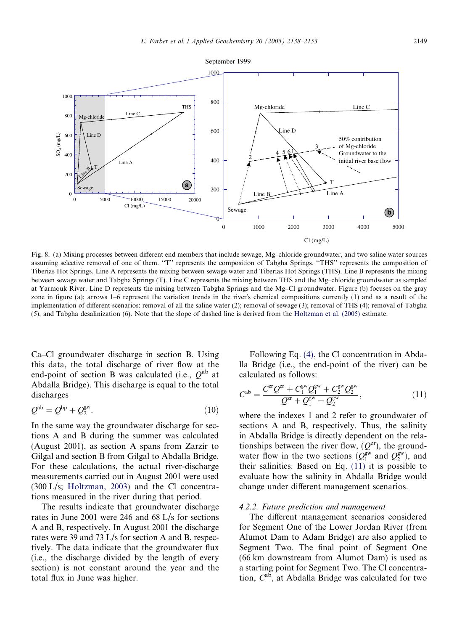<span id="page-11-0"></span>

Fig. 8. (a) Mixing processes between different end members that include sewage, Mg–chloride groundwater, and two saline water sources assuming selective removal of one of them. "T" represents the composition of Tabgha Springs. "THS" represents the composition of Tiberias Hot Springs. Line A represents the mixing between sewage water and Tiberias Hot Springs (THS). Line B represents the mixing between sewage water and Tabgha Springs (T). Line C represents the mixing between THS and the Mg–chloride groundwater as sampled at Yarmouk River. Line D represents the mixing between Tabgha Springs and the Mg–Cl groundwater. Figure (b) focuses on the gray zone in figure (a); arrows  $1-6$  represent the variation trends in the river's chemical compositions currently (1) and as a result of the implementation of different scenarios: removal of all the saline water (2); removal of sewage (3); removal of THS (4); removal of Tabgha (5), and Tabgha desalinization (6). Note that the slope of dashed line is derived from the [Holtzman](#page-15-0) et al. (2005) estimate.

Ca–Cl groundwater discharge in section B. Using this data, the total discharge of river flow at the end-point of section B was calculated (i.e.,  $Q^{ab}$  at Abdalla Bridge). This discharge is equal to the total discharges

$$
Q^{\rm ab} = Q^{\rm bp} + Q^{\rm gw}_2. \tag{10}
$$

In the same way the groundwater discharge for sections A and B during the summer was calculated (August 2001), as section A spans from Zarzir to Gilgal and section B from Gilgal to Abdalla Bridge. For these calculations, the actual river-discharge measurements carried out in August 2001 were used (300 L/s; [Holtzman,](#page-15-0) 2003) and the Cl concentrations measured in the river during that period.

The results indicate that groundwater discharge rates in June 2001 were 246 and 68 L/s for sections A and B, respectively. In August 2001 the discharge rates were 39 and 73 L/s for section A and B, respectively. The data indicate that the groundwater flux (i.e., the discharge divided by the length of every section) is not constant around the year and the total flux in June was higher.

Following Eq. [\(4\)](#page-3-0), the Cl concentration in Abdalla Bridge (i.e., the end-point of the river) can be calculated as follows:

$$
C^{ab} = \frac{C^{xt}Q^{xt} + C_1^{gw}Q_1^{gw} + C_2^{gw}Q_2^{gw}}{Q^{xt} + Q_1^{gw} + Q_2^{gw}},
$$
\n(11)

where the indexes 1 and 2 refer to groundwater of sections A and B, respectively. Thus, the salinity in Abdalla Bridge is directly dependent on the relationships between the river flow,  $(Q^{zr})$ , the groundwater flow in the two sections  $(Q_1^{\text{gw}}$  and  $Q_2^{\text{gw}})$ , and their salinities. Based on Eq. (11) it is possible to evaluate how the salinity in Abdalla Bridge would change under different management scenarios.

#### 4.2.2. Future prediction and management

The different management scenarios considered for Segment One of the Lower Jordan River (from Alumot Dam to Adam Bridge) are also applied to Segment Two. The final point of Segment One (66 km downstream from Alumot Dam) is used as a starting point for Segment Two. The Cl concentration,  $C^{ab}$ , at Abdalla Bridge was calculated for two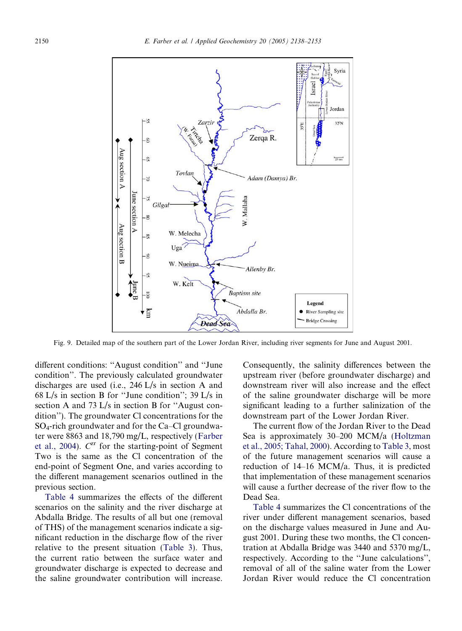<span id="page-12-0"></span>

Fig. 9. Detailed map of the southern part of the Lower Jordan River, including river segments for June and August 2001.

different conditions: ''August condition'' and ''June condition''. The previously calculated groundwater discharges are used (i.e., 246 L/s in section A and 68 L/s in section B for ''June condition''; 39 L/s in section A and 73 L/s in section B for ''August condition''). The groundwater Cl concentrations for the SO4-rich groundwater and for the Ca–Cl groundwater were 8863 and 18,790 mg/L, respectively [\(Farber](#page-15-0) et al., [2004\)](#page-15-0).  $C^{zr}$  for the starting-point of Segment Two is the same as the Cl concentration of the end-point of Segment One, and varies according to the different management scenarios outlined in the previous section.

[Table](#page-13-0) 4 summarizes the effects of the different scenarios on the salinity and the river discharge at Abdalla Bridge. The results of all but one (removal of THS) of the management scenarios indicate a significant reduction in the discharge flow of the river relative to the present situation [\(Table](#page-10-0) 3). Thus, the current ratio between the surface water and groundwater discharge is expected to decrease and the saline groundwater contribution will increase.

Consequently, the salinity differences between the upstream river (before groundwater discharge) and downstream river will also increase and the effect of the saline groundwater discharge will be more significant leading to a further salinization of the downstream part of the Lower Jordan River.

The current flow of the Jordan River to the Dead Sea is approximately 30–200 MCM/a ([Holtzman](#page-15-0) et al., 2005; [Tahal,](#page-15-0) 2000). According to [Table](#page-10-0) 3, most of the future management scenarios will cause a reduction of 14–16 MCM/a. Thus, it is predicted that implementation of these management scenarios will cause a further decrease of the river flow to the Dead Sea.

[Table](#page-13-0) 4 summarizes the Cl concentrations of the river under different management scenarios, based on the discharge values measured in June and August 2001. During these two months, the Cl concentration at Abdalla Bridge was 3440 and 5370 mg/L, respectively. According to the ''June calculations'', removal of all of the saline water from the Lower Jordan River would reduce the Cl concentration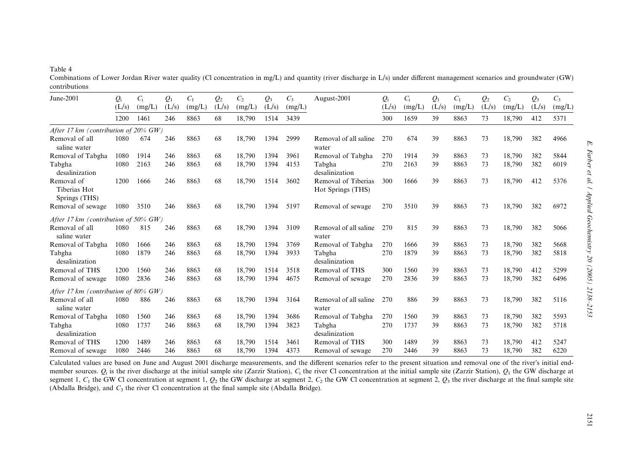# <span id="page-13-0"></span>Table 4

Combinations of Lower Jordan River water quality (Cl concentration in mg/L) and quantity (river discharge in L/s) under different management scenarios and groundwater (GW) contributions

| June-2001                                   | $Q_{\rm i}$ | $C_i$  | $Q_1$ | $C_1$  | $Q_2$ | $C_{2}$ | $\mathcal{Q}_3$ | $C_3$  | August-2001                              | $Q_i$ | $C_i$  | $Q_1$ | $C_1$  | $Q_2$ | C <sub>2</sub> | $\mathcal{Q}_3$ | $C_3$  |
|---------------------------------------------|-------------|--------|-------|--------|-------|---------|-----------------|--------|------------------------------------------|-------|--------|-------|--------|-------|----------------|-----------------|--------|
|                                             | (L/s)       | (mg/L) | (L/s) | (mg/L) | (L/s) | (mg/L)  | (L/s)           | (mg/L) |                                          | (L/s) | (mg/L) | (L/s) | (mg/L) | (L/s) | (mg/L)         | (L/s)           | (mg/L) |
|                                             | 1200        | 1461   | 246   | 8863   | 68    | 18,790  | 1514            | 3439   |                                          | 300   | 1659   | 39    | 8863   | 73    | 18,790         | 412             | 5371   |
| After 17 km (contribution of $20\%$ GW)     |             |        |       |        |       |         |                 |        |                                          |       |        |       |        |       |                |                 |        |
| Removal of all<br>saline water              | 1080        | 674    | 246   | 8863   | 68    | 18,790  | 1394            | 2999   | Removal of all saline<br>water           | 270   | 674    | 39    | 8863   | 73    | 18,790         | 382             | 4966   |
| Removal of Tabgha                           | 1080        | 1914   | 246   | 8863   | 68    | 18.790  | 1394            | 3961   | Removal of Tabgha                        | 270   | 1914   | 39    | 8863   | 73    | 18,790         | 382             | 5844   |
| Tabgha<br>desalinization                    | 1080        | 2163   | 246   | 8863   | 68    | 18,790  | 1394            | 4153   | Tabgha<br>desalinization                 | 270   | 2163   | 39    | 8863   | 73    | 18,790         | 382             | 6019   |
| Removal of<br>Tiberias Hot<br>Springs (THS) | 1200        | 1666   | 246   | 8863   | 68    | 18,790  | 1514            | 3602   | Removal of Tiberias<br>Hot Springs (THS) | 300   | 1666   | 39    | 8863   | 73    | 18,790         | 412             | 5376   |
| Removal of sewage                           | 1080        | 3510   | 246   | 8863   | 68    | 18,790  | 1394            | 5197   | Removal of sewage                        | 270   | 3510   | 39    | 8863   | 73    | 18,790         | 382             | 6972   |
| After 17 km (contribution of $50\%$ GW)     |             |        |       |        |       |         |                 |        |                                          |       |        |       |        |       |                |                 |        |
| Removal of all<br>saline water              | 1080        | 815    | 246   | 8863   | 68    | 18.790  | 1394            | 3109   | Removal of all saline<br>water           | 270   | 815    | 39    | 8863   | 73    | 18.790         | 382             | 5066   |
| Removal of Tabgha                           | 1080        | 1666   | 246   | 8863   | 68    | 18,790  | 1394            | 3769   | Removal of Tabgha                        | 270   | 1666   | 39    | 8863   | 73    | 18,790         | 382             | 5668   |
| Tabgha<br>desalinization                    | 1080        | 1879   | 246   | 8863   | 68    | 18,790  | 1394            | 3933   | Tabgha<br>desalinization                 | 270   | 1879   | 39    | 8863   | 73    | 18,790         | 382             | 5818   |
| Removal of THS                              | 1200        | 1560   | 246   | 8863   | 68    | 18,790  | 1514            | 3518   | Removal of THS                           | 300   | 1560   | 39    | 8863   | 73    | 18,790         | 412             | 5299   |
| Removal of sewage                           | 1080        | 2836   | 246   | 8863   | 68    | 18,790  | 1394            | 4675   | Removal of sewage                        | 270   | 2836   | 39    | 8863   | 73    | 18,790         | 382             | 6496   |
| After 17 km (contribution of 80% $GW$ )     |             |        |       |        |       |         |                 |        |                                          |       |        |       |        |       |                |                 |        |
| Removal of all<br>saline water              | 1080        | 886    | 246   | 8863   | 68    | 18,790  | 1394            | 3164   | Removal of all saline<br>water           | 270   | 886    | 39    | 8863   | 73    | 18,790         | 382             | 5116   |
| Removal of Tabgha                           | 1080        | 1560   | 246   | 8863   | 68    | 18.790  | 1394            | 3686   | Removal of Tabgha                        | 270   | 1560   | 39    | 8863   | 73    | 18,790         | 382             | 5593   |
| Tabgha<br>desalinization                    | 1080        | 1737   | 246   | 8863   | 68    | 18,790  | 1394            | 3823   | Tabgha<br>desalinization                 | 270   | 1737   | 39    | 8863   | 73    | 18,790         | 382             | 5718   |
| Removal of THS                              | 1200        | 1489   | 246   | 8863   | 68    | 18,790  | 1514            | 3461   | Removal of THS                           | 300   | 1489   | 39    | 8863   | 73    | 18,790         | 412             | 5247   |
| Removal of sewage                           | 1080        | 2446   | 246   | 8863   | 68    | 18,790  | 1394            | 4373   | Removal of sewage                        | 270   | 2446   | 39    | 8863   | 73    | 18,790         | 382             | 6220   |

Calculated values are based on June and August 2001 discharge measurements, and the different scenarios refer to the present situation and removal one of the river's initial endmember sources.  $Q_i$  is the river discharge at the initial sample site (Zarzir Station),  $C_i$  the river Cl concentration at the initial sample site (Zarzir Station),  $Q_i$  the GW discharge at segment 1,  $C_1$  the GW Cl concentration at segment 1,  $Q_2$  the GW discharge at segment 2,  $C_2$  the GW Cl concentration at segment 2,  $Q_3$  the river discharge at the final sample site (Abdalla Bridge), and  $C_3$  the river Cl concentration at the final sample site (Abdalla Bridge).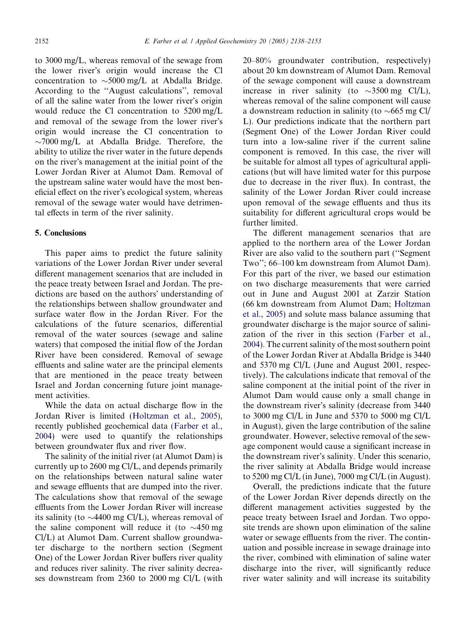to 3000 mg/L, whereas removal of the sewage from the lower river's origin would increase the Cl concentration to  $\sim$ 5000 mg/L at Abdalla Bridge. According to the ''August calculations'', removal of all the saline water from the lower river's origin would reduce the Cl concentration to 5200 mg/L and removal of the sewage from the lower river's origin would increase the Cl concentration to  $\sim$ 7000 mg/L at Abdalla Bridge. Therefore, the ability to utilize the river water in the future depends on the river's management at the initial point of the Lower Jordan River at Alumot Dam. Removal of the upstream saline water would have the most beneficial effect on the river's ecological system, whereas removal of the sewage water would have detrimental effects in term of the river salinity.

# 5. Conclusions

This paper aims to predict the future salinity variations of the Lower Jordan River under several different management scenarios that are included in the peace treaty between Israel and Jordan. The predictions are based on the authors' understanding of the relationships between shallow groundwater and surface water flow in the Jordan River. For the calculations of the future scenarios, differential removal of the water sources (sewage and saline waters) that composed the initial flow of the Jordan River have been considered. Removal of sewage effluents and saline water are the principal elements that are mentioned in the peace treaty between Israel and Jordan concerning future joint management activities.

While the data on actual discharge flow in the Jordan River is limited [\(Holtzman](#page-15-0) et al., 2005), recently published geochemical data ([Farber](#page-15-0) et al., [2004](#page-15-0)) were used to quantify the relationships between groundwater flux and river flow.

The salinity of the initial river (at Alumot Dam) is currently up to 2600 mg Cl/L, and depends primarily on the relationships between natural saline water and sewage effluents that are dumped into the river. The calculations show that removal of the sewage effluents from the Lower Jordan River will increase its salinity (to  $\sim$ 4400 mg Cl/L), whereas removal of the saline component will reduce it (to  $\sim$ 450 mg) Cl/L) at Alumot Dam. Current shallow groundwater discharge to the northern section (Segment One) of the Lower Jordan River buffers river quality and reduces river salinity. The river salinity decreases downstream from 2360 to 2000 mg Cl/L (with

20–80% groundwater contribution, respectively) about 20 km downstream of Alumot Dam. Removal of the sewage component will cause a downstream increase in river salinity (to  $\sim$ 3500 mg Cl/L), whereas removal of the saline component will cause a downstream reduction in salinity (to  $\sim$  665 mg Cl/ L). Our predictions indicate that the northern part (Segment One) of the Lower Jordan River could turn into a low-saline river if the current saline component is removed. In this case, the river will be suitable for almost all types of agricultural applications (but will have limited water for this purpose due to decrease in the river flux). In contrast, the salinity of the Lower Jordan River could increase upon removal of the sewage effluents and thus its suitability for different agricultural crops would be further limited.

The different management scenarios that are applied to the northern area of the Lower Jordan River are also valid to the southern part (''Segment Two''; 66–100 km downstream from Alumot Dam). For this part of the river, we based our estimation on two discharge measurements that were carried out in June and August 2001 at Zarzir Station (66 km downstream from Alumot Dam; [Holtzman](#page-15-0) et al., [2005](#page-15-0)) and solute mass balance assuming that groundwater discharge is the major source of salinization of the river in this section [\(Farber](#page-15-0) et al., [2004](#page-15-0)). The current salinity of the most southern point of the Lower Jordan River at Abdalla Bridge is 3440 and 5370 mg Cl/L (June and August 2001, respectively). The calculations indicate that removal of the saline component at the initial point of the river in Alumot Dam would cause only a small change in the downstream river's salinity (decrease from 3440) to 3000 mg Cl/L in June and 5370 to 5000 mg Cl/L in August), given the large contribution of the saline groundwater. However, selective removal of the sewage component would cause a significant increase in the downstream river's salinity. Under this scenario, the river salinity at Abdalla Bridge would increase to 5200 mg Cl/L (in June), 7000 mg Cl/L (in August).

Overall, the predictions indicate that the future of the Lower Jordan River depends directly on the different management activities suggested by the peace treaty between Israel and Jordan. Two opposite trends are shown upon elimination of the saline water or sewage effluents from the river. The continuation and possible increase in sewage drainage into the river, combined with elimination of saline water discharge into the river, will significantly reduce river water salinity and will increase its suitability